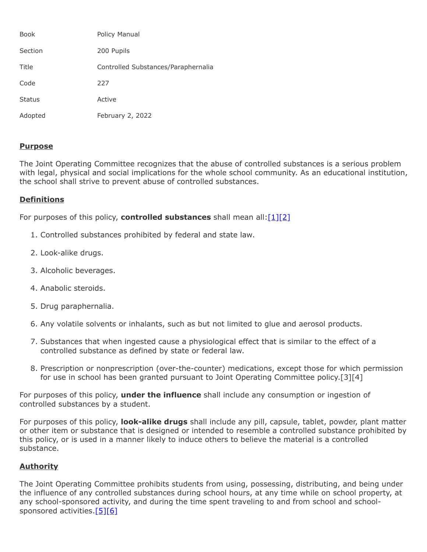| Book          | Policy Manual                       |
|---------------|-------------------------------------|
| Section       | 200 Pupils                          |
| Title         | Controlled Substances/Paraphernalia |
| Code          | 227                                 |
| <b>Status</b> | Active                              |
| Adopted       | February 2, 2022                    |

# **Purpose**

The Joint Operating Committee recognizes that the abuse of controlled substances is a serious problem with legal, physical and social implications for the whole school community. As an educational institution, the school shall strive to prevent abuse of controlled substances.

# **Definitions**

For purposes of this policy, **controlled substances** shall mean all:[\[1\]](http://www.legis.state.pa.us/cfdocs/legis/LI/uconsCheck.cfm?txtType=HTM&yr=1972&sessInd=0&smthLwInd=0&act=64&chpt=0&sctn=2&subsctn=0)[\[2\]](http://www.law.cornell.edu/uscode/text/21/812)

- 1. Controlled substances prohibited by federal and state law.
- 2. Look-alike drugs.
- 3. Alcoholic beverages.
- 4. Anabolic steroids.
- 5. Drug paraphernalia.
- 6. Any volatile solvents or inhalants, such as but not limited to glue and aerosol products.
- 7. Substances that when ingested cause a physiological effect that is similar to the effect of a controlled substance as defined by state or federal law.
- 8. Prescription or nonprescription (over-the-counter) medications, except those for which permission for use in school has been granted pursuant to Joint Operating Committee policy.[3][4]

For purposes of this policy, **under the influence** shall include any consumption or ingestion of controlled substances by a student.

For purposes of this policy, **look-alike drugs** shall include any pill, capsule, tablet, powder, plant matter or other item or substance that is designed or intended to resemble a controlled substance prohibited by this policy, or is used in a manner likely to induce others to believe the material is a controlled substance.

## **Authority**

The Joint Operating Committee prohibits students from using, possessing, distributing, and being under the influence of any controlled substances during school hours, at any time while on school property, at any school-sponsored activity, and during the time spent traveling to and from school and school-sponsored activities.<sup>[5][\[6\]](http://pacodeandbulletin.gov/Display/pacode?file=/secure/pacode/data/022/chapter12/s12.3.html&d=reduce)</sup>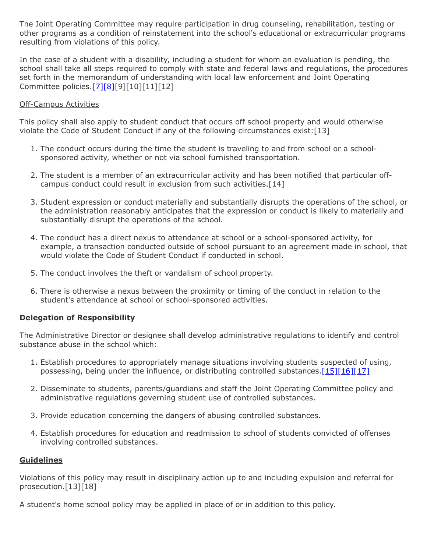The Joint Operating Committee may require participation in drug counseling, rehabilitation, testing or other programs as a condition of reinstatement into the school's educational or extracurricular programs resulting from violations of this policy.

In the case of a student with a disability, including a student for whom an evaluation is pending, the school shall take all steps required to comply with state and federal laws and regulations, the procedures set forth in the memorandum of understanding with local law enforcement and Joint Operating Committee policies[.\[7\]](http://pacodeandbulletin.gov/Display/pacode?file=/secure/pacode/data/022/chapter10/s10.23.html&d=reduce)[\[8\]\[](http://www.law.cornell.edu/uscode/text/20/chapter-33)9][10][11][12]

## Off-Campus Activities

This policy shall also apply to student conduct that occurs off school property and would otherwise violate the Code of Student Conduct if any of the following circumstances exist:[13]

- 1. The conduct occurs during the time the student is traveling to and from school or a schoolsponsored activity, whether or not via school furnished transportation.
- 2. The student is a member of an extracurricular activity and has been notified that particular offcampus conduct could result in exclusion from such activities.[14]
- 3. Student expression or conduct materially and substantially disrupts the operations of the school, or the administration reasonably anticipates that the expression or conduct is likely to materially and substantially disrupt the operations of the school.
- 4. The conduct has a direct nexus to attendance at school or a school-sponsored activity, for example, a transaction conducted outside of school pursuant to an agreement made in school, that would violate the Code of Student Conduct if conducted in school.
- 5. The conduct involves the theft or vandalism of school property.
- 6. There is otherwise a nexus between the proximity or timing of the conduct in relation to the student's attendance at school or school-sponsored activities.

## **Delegation of Responsibility**

The Administrative Director or designee shall develop administrative regulations to identify and control substance abuse in the school which:

- 1. Establish procedures to appropriately manage situations involving students suspected of using, possessing, being under the influence, or distributing controlled substances.  $[15][16][17]$  $[15][16][17]$  $[15][16][17]$
- 2. Disseminate to students, parents/guardians and staff the Joint Operating Committee policy and administrative regulations governing student use of controlled substances.
- 3. Provide education concerning the dangers of abusing controlled substances.
- 4. Establish procedures for education and readmission to school of students convicted of offenses involving controlled substances.

## **Guidelines**

Violations of this policy may result in disciplinary action up to and including expulsion and referral for prosecution.[13][18]

A student's home school policy may be applied in place of or in addition to this policy.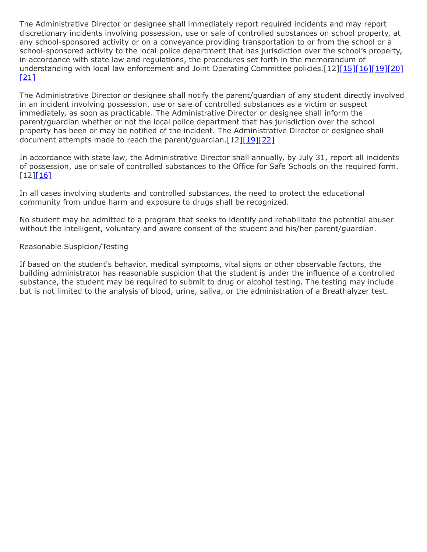The Administrative Director or designee shall immediately report required incidents and may report discretionary incidents involving possession, use or sale of controlled substances on school property, at any school-sponsored activity or on a conveyance providing transportation to or from the school or a school-sponsored activity to the local police department that has jurisdiction over the school's property, in accordance with state law and regulations, the procedures set forth in the memorandum of understanding with local law enforcement and Joint Operating Committee policies.[12[\]\[15\]](http://www.legis.state.pa.us/cfdocs/legis/LI/uconsCheck.cfm?txtType=HTM&yr=1949&sessInd=0&smthLwInd=0&act=14&chpt=13A&sctn=2&subsctn=1)[\[16\]](http://www.legis.state.pa.us/cfdocs/legis/LI/uconsCheck.cfm?txtType=HTM&yr=1949&sessInd=0&smthLwInd=0&act=14&chpt=13A&sctn=3&subsctn=0)[\[19\]](http://pacodeandbulletin.gov/Display/pacode?file=/secure/pacode/data/022/chapter10/s10.2.html&d=reduce)[\[20\]](http://pacodeandbulletin.gov/Display/pacode?file=/secure/pacode/data/022/chapter10/s10.21.html&d=reduce)  $[21]$ 

The Administrative Director or designee shall notify the parent/guardian of any student directly involved in an incident involving possession, use or sale of controlled substances as a victim or suspect immediately, as soon as practicable. The Administrative Director or designee shall inform the parent/guardian whether or not the local police department that has jurisdiction over the school property has been or may be notified of the incident. The Administrative Director or designee shall document attempts made to reach the parent/guardian. $[12][19][22]$  $[12][19][22]$  $[12][19][22]$ 

In accordance with state law, the Administrative Director shall annually, by July 31, report all incidents of possession, use or sale of controlled substances to the Office for Safe Schools on the required form.  $[12]$ [\[16\]](http://www.legis.state.pa.us/cfdocs/legis/LI/uconsCheck.cfm?txtType=HTM&yr=1949&sessInd=0&smthLwInd=0&act=14&chpt=13A&sctn=3&subsctn=0)

In all cases involving students and controlled substances, the need to protect the educational community from undue harm and exposure to drugs shall be recognized.

No student may be admitted to a program that seeks to identify and rehabilitate the potential abuser without the intelligent, voluntary and aware consent of the student and his/her parent/guardian.

### Reasonable Suspicion/Testing

If based on the student's behavior, medical symptoms, vital signs or other observable factors, the building administrator has reasonable suspicion that the student is under the influence of a controlled substance, the student may be required to submit to drug or alcohol testing. The testing may include but is not limited to the analysis of blood, urine, saliva, or the administration of a Breathalyzer test.